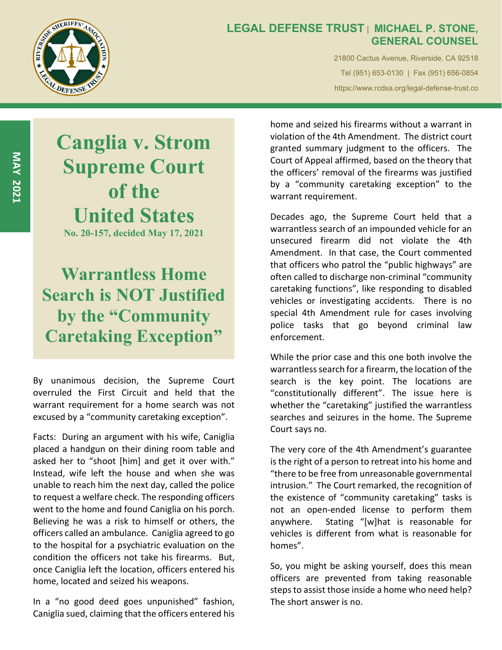

## LEGAL DEFENSE TRUST | MICHAEL P. STONE, GENERAL COUNSEL

21800 Cactus Avenue, Riverside, CA 92518 Tel (951) 653-0130 | Fax (951) 656-0854 https://www.rcdsa.org/legal-defense-trust.co

E<br>
Supreme Court<br>
Supreme Court<br>
of the 1 Canglia v. Strom of the United States No. 20-157, decided May 17, 2021

# Warrantless Home Search is NOT Justified by the "Community Caretaking Exception"

By unanimous decision, the Supreme Court overruled the First Circuit and held that the warrant requirement for a home search was not excused by a "community caretaking exception".

Facts: During an argument with his wife, Caniglia placed a handgun on their dining room table and asked her to "shoot [him] and get it over with." Instead, wife left the house and when she was unable to reach him the next day, called the police to request a welfare check. The responding officers went to the home and found Caniglia on his porch. Believing he was a risk to himself or others, the officers called an ambulance. Caniglia agreed to go to the hospital for a psychiatric evaluation on the condition the officers not take his firearms. But, once Caniglia left the location, officers entered his home, located and seized his weapons.

In a "no good deed goes unpunished" fashion, Caniglia sued, claiming that the officers entered his

home and seized his firearms without a warrant in violation of the 4th Amendment. The district court granted summary judgment to the officers. The Court of Appeal affirmed, based on the theory that the officers' removal of the firearms was justified by a "community caretaking exception" to the warrant requirement.

Decades ago, the Supreme Court held that a warrantless search of an impounded vehicle for an unsecured firearm did not violate the 4th Amendment. In that case, the Court commented that officers who patrol the "public highways" are often called to discharge non-criminal "community caretaking functions", like responding to disabled vehicles or investigating accidents. There is no special 4th Amendment rule for cases involving police tasks that go beyond criminal law enforcement.

While the prior case and this one both involve the warrantless search for a firearm, the location of the search is the key point. The locations are "constitutionally different". The issue here is whether the "caretaking" justified the warrantless searches and seizures in the home. The Supreme Court says no.

The very core of the 4th Amendment's guarantee is the right of a person to retreat into his home and "there to be free from unreasonable governmental intrusion." The Court remarked, the recognition of the existence of "community caretaking" tasks is not an open-ended license to perform them anywhere. Stating "[w]hat is reasonable for vehicles is different from what is reasonable for homes".

So, you might be asking yourself, does this mean officers are prevented from taking reasonable steps to assist those inside a home who need help? The short answer is no.